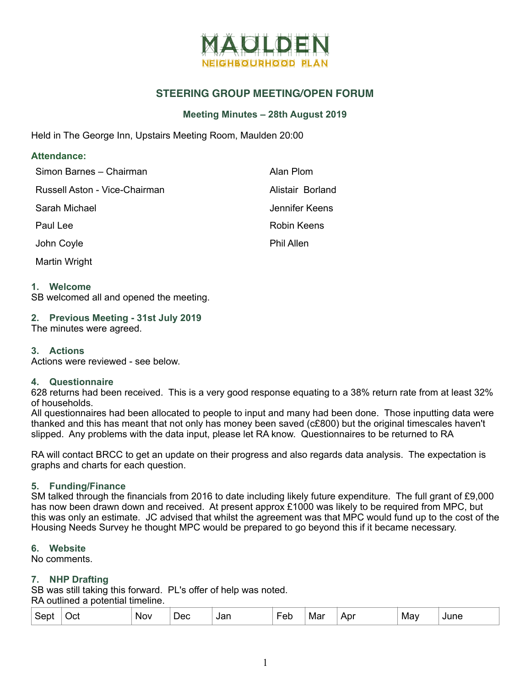

# **STEERING GROUP MEETING/OPEN FORUM**

### **Meeting Minutes – 28th August 2019**

Held in The George Inn, Upstairs Meeting Room, Maulden 20:00

#### **Attendance:**

| Simon Barnes - Chairman       | Alan Plom         |
|-------------------------------|-------------------|
| Russell Aston - Vice-Chairman | Alistair Borland  |
| Sarah Michael                 | Jennifer Keens    |
| Paul Lee                      | Robin Keens       |
| John Coyle                    | <b>Phil Allen</b> |
| Martin Wright                 |                   |

#### **1. Welcome**

SB welcomed all and opened the meeting.

### **2. Previous Meeting - 31st July 2019**

The minutes were agreed.

#### **3. Actions**

Actions were reviewed - see below.

#### **4. Questionnaire**

628 returns had been received. This is a very good response equating to a 38% return rate from at least 32% of households.

All questionnaires had been allocated to people to input and many had been done. Those inputting data were thanked and this has meant that not only has money been saved (c£800) but the original timescales haven't slipped. Any problems with the data input, please let RA know. Questionnaires to be returned to RA

RA will contact BRCC to get an update on their progress and also regards data analysis. The expectation is graphs and charts for each question.

#### **5. Funding/Finance**

SM talked through the financials from 2016 to date including likely future expenditure. The full grant of £9,000 has now been drawn down and received. At present approx £1000 was likely to be required from MPC, but this was only an estimate. JC advised that whilst the agreement was that MPC would fund up to the cost of the Housing Needs Survey he thought MPC would be prepared to go beyond this if it became necessary.

#### **6. Website**

No comments.

#### **7. NHP Drafting**

SB was still taking this forward. PL's offer of help was noted. RA outlined a potential timeline.

| .ser | )Cl | Nov | _<br>Dec | Jar<br>$ -$ | _<br>– ∆r<br>ᄄ | Mar | $n_{\rm m}$<br>AVI | May | $\cdots$<br>une |  |
|------|-----|-----|----------|-------------|----------------|-----|--------------------|-----|-----------------|--|
|------|-----|-----|----------|-------------|----------------|-----|--------------------|-----|-----------------|--|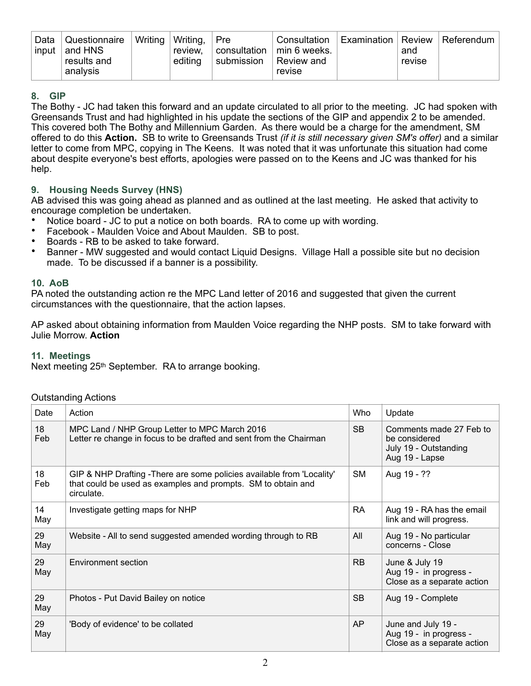| Data<br>input | Questionnaire<br>and HNS<br>results and<br>analysis | Writing | ⊤ Writing,<br>review.<br>editing | Pre<br>consultation<br>submission | Consultation<br>min 6 weeks.<br>Review and<br>revise | <b>Examination   Review</b> | and<br>revise | Referendum |
|---------------|-----------------------------------------------------|---------|----------------------------------|-----------------------------------|------------------------------------------------------|-----------------------------|---------------|------------|
|---------------|-----------------------------------------------------|---------|----------------------------------|-----------------------------------|------------------------------------------------------|-----------------------------|---------------|------------|

### **8. GIP**

The Bothy - JC had taken this forward and an update circulated to all prior to the meeting. JC had spoken with Greensands Trust and had highlighted in his update the sections of the GIP and appendix 2 to be amended. This covered both The Bothy and Millennium Garden. As there would be a charge for the amendment, SM offered to do this **Action.** SB to write to Greensands Trust *(if it is still necessary given SM's offer)* and a similar letter to come from MPC, copying in The Keens. It was noted that it was unfortunate this situation had come about despite everyone's best efforts, apologies were passed on to the Keens and JC was thanked for his help.

## **9. Housing Needs Survey (HNS)**

AB advised this was going ahead as planned and as outlined at the last meeting. He asked that activity to encourage completion be undertaken.

- Notice board JC to put a notice on both boards. RA to come up with wording.
- Facebook Maulden Voice and About Maulden. SB to post.
- Boards RB to be asked to take forward.
- Banner MW suggested and would contact Liquid Designs. Village Hall a possible site but no decision made. To be discussed if a banner is a possibility.

### **10. AoB**

PA noted the outstanding action re the MPC Land letter of 2016 and suggested that given the current circumstances with the questionnaire, that the action lapses.

AP asked about obtaining information from Maulden Voice regarding the NHP posts. SM to take forward with Julie Morrow. **Action**

### **11. Meetings**

Next meeting 25<sup>th</sup> September. RA to arrange booking.

### Outstanding Actions

| Date      | Action                                                                                                                                               | Who       | Update                                                                              |
|-----------|------------------------------------------------------------------------------------------------------------------------------------------------------|-----------|-------------------------------------------------------------------------------------|
| 18<br>Feb | MPC Land / NHP Group Letter to MPC March 2016<br>Letter re change in focus to be drafted and sent from the Chairman                                  | <b>SB</b> | Comments made 27 Feb to<br>be considered<br>July 19 - Outstanding<br>Aug 19 - Lapse |
| 18<br>Feb | GIP & NHP Drafting - There are some policies available from 'Locality'<br>that could be used as examples and prompts. SM to obtain and<br>circulate. | <b>SM</b> | Aug 19 - ??                                                                         |
| 14<br>May | Investigate getting maps for NHP                                                                                                                     | <b>RA</b> | Aug 19 - RA has the email<br>link and will progress.                                |
| 29<br>May | Website - All to send suggested amended wording through to RB                                                                                        | All       | Aug 19 - No particular<br>concerns - Close                                          |
| 29<br>May | Environment section                                                                                                                                  | <b>RB</b> | June & July 19<br>Aug 19 - in progress -<br>Close as a separate action              |
| 29<br>May | Photos - Put David Bailey on notice                                                                                                                  | <b>SB</b> | Aug 19 - Complete                                                                   |
| 29<br>May | 'Body of evidence' to be collated                                                                                                                    | <b>AP</b> | June and July 19 -<br>Aug 19 - in progress -<br>Close as a separate action          |